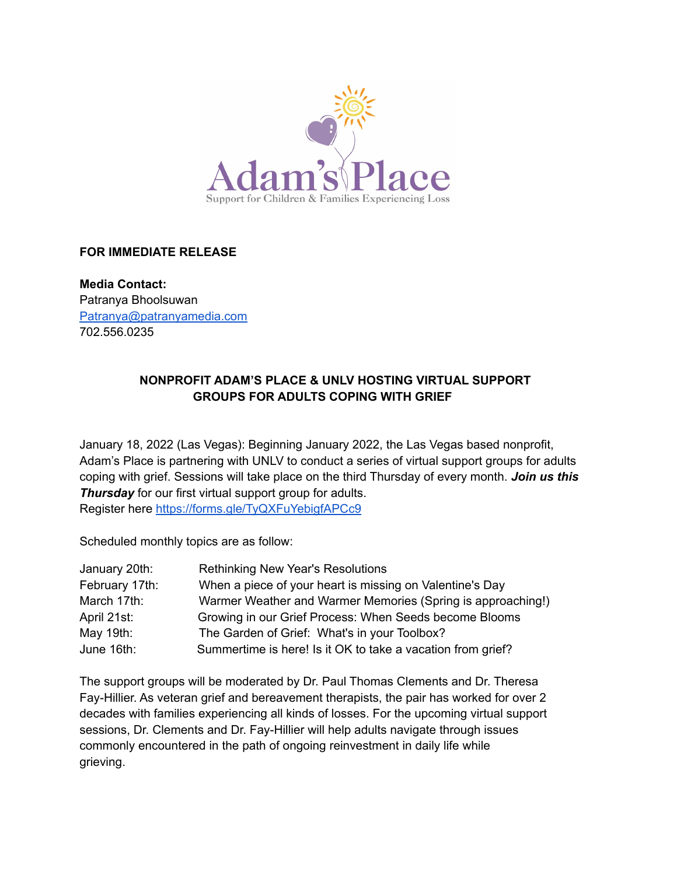

#### **FOR IMMEDIATE RELEASE**

**Media Contact:** Patranya Bhoolsuwan [Patranya@patranyamedia.com](mailto:Patranya@patranyamedia.com) 702.556.0235

#### **NONPROFIT ADAM'S PLACE & UNLV HOSTING VIRTUAL SUPPORT GROUPS FOR ADULTS COPING WITH GRIEF**

January 18, 2022 (Las Vegas): Beginning January 2022, the Las Vegas based nonprofit, Adam's Place is partnering with UNLV to conduct a series of virtual support groups for adults coping with grief. Sessions will take place on the third Thursday of every month. *Join us this Thursday* for our first virtual support group for adults. Register here <https://forms.gle/TyQXFuYebigfAPCc9>

Scheduled monthly topics are as follow:

| January 20th:  | <b>Rethinking New Year's Resolutions</b>                    |
|----------------|-------------------------------------------------------------|
| February 17th: | When a piece of your heart is missing on Valentine's Day    |
| March 17th:    | Warmer Weather and Warmer Memories (Spring is approaching!) |
| April 21st:    | Growing in our Grief Process: When Seeds become Blooms      |
| May 19th:      | The Garden of Grief: What's in your Toolbox?                |
| June 16th:     | Summertime is here! Is it OK to take a vacation from grief? |

The support groups will be moderated by Dr. Paul Thomas Clements and Dr. Theresa Fay-Hillier. As veteran grief and bereavement therapists, the pair has worked for over 2 decades with families experiencing all kinds of losses. For the upcoming virtual support sessions, Dr. Clements and Dr. Fay-Hillier will help adults navigate through issues commonly encountered in the path of ongoing reinvestment in daily life while grieving.